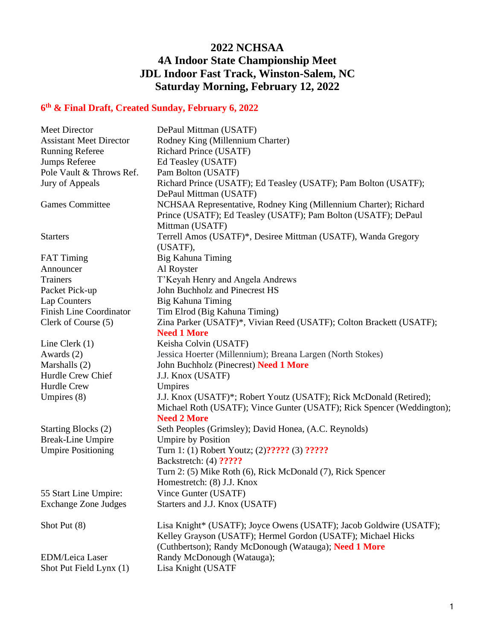## **2022 NCHSAA 4A Indoor State Championship Meet JDL Indoor Fast Track, Winston-Salem, NC Saturday Morning, February 12, 2022**

## **6 th & Final Draft, Created Sunday, February 6, 2022**

| Meet Director                                     | DePaul Mittman (USATF)                                                                                                                                                                      |
|---------------------------------------------------|---------------------------------------------------------------------------------------------------------------------------------------------------------------------------------------------|
| <b>Assistant Meet Director</b>                    | Rodney King (Millennium Charter)                                                                                                                                                            |
| <b>Running Referee</b>                            | Richard Prince (USATF)                                                                                                                                                                      |
| Jumps Referee                                     | Ed Teasley (USATF)                                                                                                                                                                          |
| Pole Vault & Throws Ref.                          | Pam Bolton (USATF)                                                                                                                                                                          |
| Jury of Appeals                                   | Richard Prince (USATF); Ed Teasley (USATF); Pam Bolton (USATF);<br>DePaul Mittman (USATF)                                                                                                   |
| <b>Games Committee</b>                            | NCHSAA Representative, Rodney King (Millennium Charter); Richard<br>Prince (USATF); Ed Teasley (USATF); Pam Bolton (USATF); DePaul<br>Mittman (USATF)                                       |
| <b>Starters</b>                                   | Terrell Amos (USATF)*, Desiree Mittman (USATF), Wanda Gregory<br>(USATF),                                                                                                                   |
| <b>FAT Timing</b>                                 | Big Kahuna Timing                                                                                                                                                                           |
| Announcer                                         | Al Royster                                                                                                                                                                                  |
| <b>Trainers</b>                                   | T'Keyah Henry and Angela Andrews                                                                                                                                                            |
| Packet Pick-up                                    | John Buchholz and Pinecrest HS                                                                                                                                                              |
| Lap Counters                                      | Big Kahuna Timing                                                                                                                                                                           |
| <b>Finish Line Coordinator</b>                    | Tim Elrod (Big Kahuna Timing)                                                                                                                                                               |
| Clerk of Course (5)                               | Zina Parker (USATF)*, Vivian Reed (USATF); Colton Brackett (USATF);<br><b>Need 1 More</b>                                                                                                   |
| Line Clerk $(1)$                                  | Keisha Colvin (USATF)                                                                                                                                                                       |
| Awards (2)                                        | Jessica Hoerter (Millennium); Breana Largen (North Stokes)                                                                                                                                  |
| Marshalls (2)                                     | John Buchholz (Pinecrest) Need 1 More                                                                                                                                                       |
| Hurdle Crew Chief                                 | J.J. Knox (USATF)                                                                                                                                                                           |
| <b>Hurdle Crew</b>                                | Umpires                                                                                                                                                                                     |
| Umpires $(8)$                                     | J.J. Knox (USATF)*; Robert Youtz (USATF); Rick McDonald (Retired);<br>Michael Roth (USATF); Vince Gunter (USATF); Rick Spencer (Weddington);<br><b>Need 2 More</b>                          |
| Starting Blocks (2)                               | Seth Peoples (Grimsley); David Honea, (A.C. Reynolds)                                                                                                                                       |
| <b>Break-Line Umpire</b>                          | <b>Umpire by Position</b>                                                                                                                                                                   |
| <b>Umpire Positioning</b>                         | Turn 1: (1) Robert Youtz; (2)????? (3) ?????                                                                                                                                                |
|                                                   | Backstretch: (4) ?????                                                                                                                                                                      |
|                                                   | Turn 2: (5) Mike Roth (6), Rick McDonald (7), Rick Spencer                                                                                                                                  |
|                                                   | Homestretch: (8) J.J. Knox                                                                                                                                                                  |
| 55 Start Line Umpire:                             | Vince Gunter (USATF)                                                                                                                                                                        |
| <b>Exchange Zone Judges</b>                       | Starters and J.J. Knox (USATF)                                                                                                                                                              |
| Shot Put (8)                                      | Lisa Knight* (USATF); Joyce Owens (USATF); Jacob Goldwire (USATF);<br>Kelley Grayson (USATF); Hermel Gordon (USATF); Michael Hicks<br>(Cuthbertson); Randy McDonough (Watauga); Need 1 More |
| <b>EDM/Leica Laser</b><br>Shot Put Field Lynx (1) | Randy McDonough (Watauga);<br>Lisa Knight (USATF                                                                                                                                            |